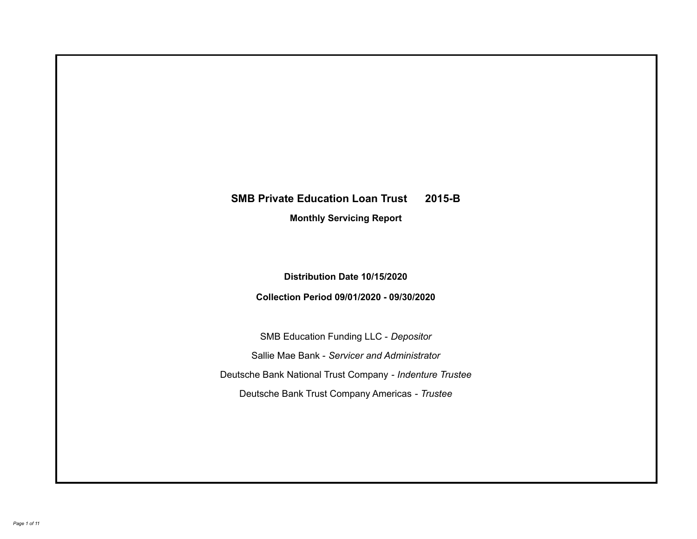# **SMB Private Education Loan Trust 2015-B Monthly Servicing Report**

**Distribution Date 10/15/2020**

**Collection Period 09/01/2020 - 09/30/2020**

SMB Education Funding LLC - *Depositor* Sallie Mae Bank - *Servicer and Administrator* Deutsche Bank National Trust Company - *Indenture Trustee* Deutsche Bank Trust Company Americas - *Trustee*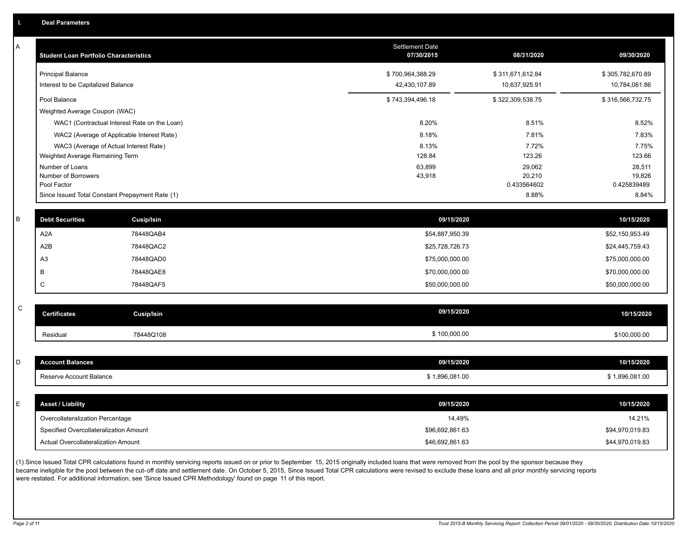A

| Α           | <b>Student Loan Portfolio Characteristics</b> |                                                 | <b>Settlement Date</b><br>07/30/2015 | 08/31/2020            | 09/30/2020            |
|-------------|-----------------------------------------------|-------------------------------------------------|--------------------------------------|-----------------------|-----------------------|
|             | <b>Principal Balance</b>                      |                                                 | \$700,964,388.29                     | \$311,671,612.84      | \$305,782,670.89      |
|             | Interest to be Capitalized Balance            |                                                 | 42,430,107.89                        | 10,637,925.91         | 10,784,061.86         |
|             | Pool Balance                                  |                                                 | \$743,394,496.18                     | \$322,309,538.75      | \$316,566,732.75      |
|             | Weighted Average Coupon (WAC)                 |                                                 |                                      |                       |                       |
|             |                                               | WAC1 (Contractual Interest Rate on the Loan)    | 8.20%                                | 8.51%                 | 8.52%                 |
|             |                                               | WAC2 (Average of Applicable Interest Rate)      | 8.18%                                | 7.81%                 | 7.83%                 |
|             |                                               | WAC3 (Average of Actual Interest Rate)          | 8.13%                                | 7.72%                 | 7.75%                 |
|             | Weighted Average Remaining Term               |                                                 | 128.84                               | 123.26                | 123.66                |
|             | Number of Loans                               |                                                 | 63,899                               | 29,062                | 28,511                |
|             | Number of Borrowers<br>Pool Factor            |                                                 | 43,918                               | 20,210<br>0.433564602 | 19,826<br>0.425839489 |
|             |                                               | Since Issued Total Constant Prepayment Rate (1) |                                      | 8.88%                 | 8.84%                 |
|             |                                               |                                                 |                                      |                       |                       |
| B           | <b>Debt Securities</b>                        | Cusip/Isin                                      | 09/15/2020                           |                       | 10/15/2020            |
|             | A <sub>2</sub> A                              | 78448QAB4                                       | \$54,887,950.39                      |                       | \$52,150,953.49       |
|             | A2B                                           | 78448QAC2                                       | \$25,728,726.73                      |                       | \$24,445,759.43       |
|             | A <sub>3</sub>                                | 78448QAD0                                       | \$75,000,000.00                      |                       | \$75,000,000.00       |
|             | B                                             | 78448QAE8                                       | \$70,000,000.00                      |                       | \$70,000,000.00       |
|             | $\mathsf C$                                   | 78448QAF5                                       | \$50,000,000.00                      |                       | \$50,000,000.00       |
| $\mathsf C$ |                                               |                                                 |                                      |                       |                       |
|             | <b>Certificates</b>                           | <b>Cusip/Isin</b>                               | 09/15/2020                           |                       | 10/15/2020            |
|             | Residual                                      | 78448Q108                                       | \$100,000.00                         |                       | \$100,000.00          |
|             |                                               |                                                 |                                      |                       |                       |
| D           | <b>Account Balances</b>                       |                                                 | 09/15/2020                           |                       | 10/15/2020            |
|             | Reserve Account Balance                       |                                                 | \$1,896,081.00                       |                       | \$1,896,081.00        |
|             |                                               |                                                 |                                      |                       |                       |
| E.          | <b>Asset / Liability</b>                      |                                                 | 09/15/2020                           |                       | 10/15/2020            |
|             | Overcollateralization Percentage              |                                                 | 14.49%                               |                       | 14.21%                |
|             | Specified Overcollateralization Amount        |                                                 | \$96,692,861.63                      |                       | \$94,970,019.83       |
|             | Actual Overcollateralization Amount           |                                                 | \$46,692,861.63                      |                       | \$44,970,019.83       |

(1) Since Issued Total CPR calculations found in monthly servicing reports issued on or prior to September 15, 2015 originally included loans that were removed from the pool by the sponsor because they .<br>became ineligible for the pool between the cut-off date and settlement date. On October 5, 2015, Since Issued Total CPR calculations were revised to exclude these loans and all prior monthly servicing reports were restated. For additional information, see 'Since Issued CPR Methodology' found on page 11 of this report.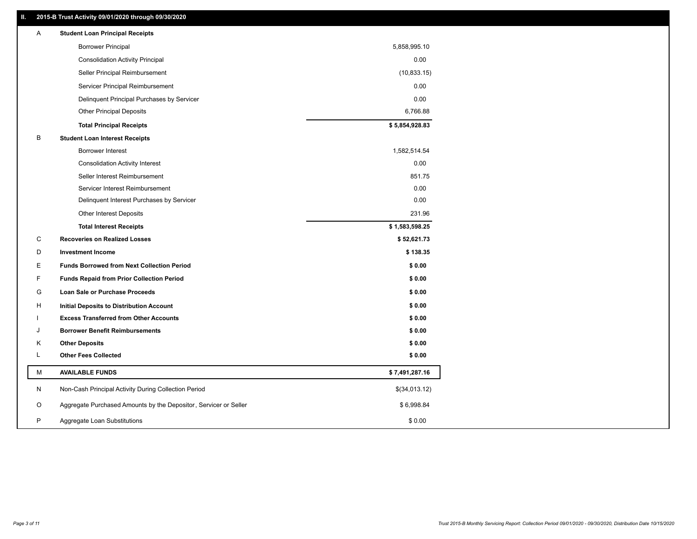### **II. 2015-B Trust Activity 09/01/2020 through 09/30/2020**

| Α | <b>Student Loan Principal Receipts</b>                           |                |  |
|---|------------------------------------------------------------------|----------------|--|
|   | <b>Borrower Principal</b>                                        | 5,858,995.10   |  |
|   | <b>Consolidation Activity Principal</b>                          | 0.00           |  |
|   | Seller Principal Reimbursement                                   | (10, 833.15)   |  |
|   | Servicer Principal Reimbursement                                 | 0.00           |  |
|   | Delinquent Principal Purchases by Servicer                       | 0.00           |  |
|   | <b>Other Principal Deposits</b>                                  | 6,766.88       |  |
|   | <b>Total Principal Receipts</b>                                  | \$5,854,928.83 |  |
| B | <b>Student Loan Interest Receipts</b>                            |                |  |
|   | <b>Borrower Interest</b>                                         | 1,582,514.54   |  |
|   | <b>Consolidation Activity Interest</b>                           | 0.00           |  |
|   | Seller Interest Reimbursement                                    | 851.75         |  |
|   | Servicer Interest Reimbursement                                  | 0.00           |  |
|   | Delinquent Interest Purchases by Servicer                        | 0.00           |  |
|   | Other Interest Deposits                                          | 231.96         |  |
|   | <b>Total Interest Receipts</b>                                   | \$1,583,598.25 |  |
| C | <b>Recoveries on Realized Losses</b>                             | \$52,621.73    |  |
| D | <b>Investment Income</b>                                         | \$138.35       |  |
| Е | <b>Funds Borrowed from Next Collection Period</b>                | \$0.00         |  |
| F | <b>Funds Repaid from Prior Collection Period</b>                 | \$0.00         |  |
| G | Loan Sale or Purchase Proceeds                                   | \$0.00         |  |
| H | Initial Deposits to Distribution Account                         | \$0.00         |  |
|   | <b>Excess Transferred from Other Accounts</b>                    | \$0.00         |  |
| J | <b>Borrower Benefit Reimbursements</b>                           | \$0.00         |  |
| Κ | <b>Other Deposits</b>                                            | \$0.00         |  |
| Г | <b>Other Fees Collected</b>                                      | \$0.00         |  |
| М | <b>AVAILABLE FUNDS</b>                                           | \$7,491,287.16 |  |
| N | Non-Cash Principal Activity During Collection Period             | \$(34,013.12)  |  |
| O | Aggregate Purchased Amounts by the Depositor, Servicer or Seller | \$6,998.84     |  |
| P | Aggregate Loan Substitutions                                     | \$0.00         |  |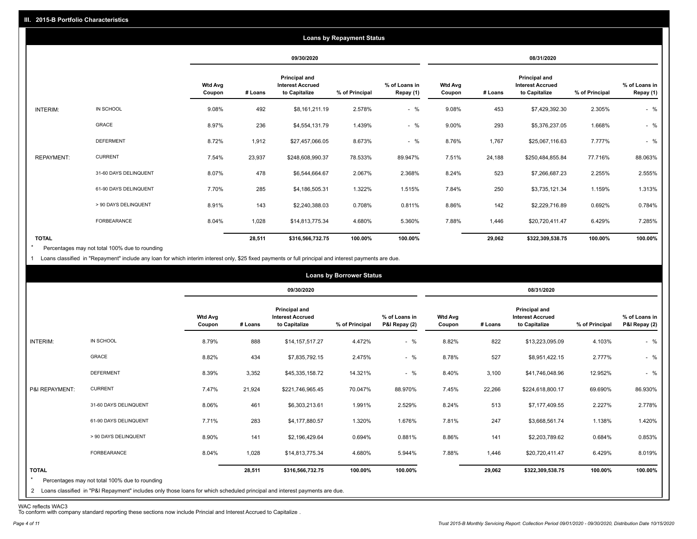|                   |                       |                          |         |                                                           | <b>Loans by Repayment Status</b> |                            |                          |         |                                                                  |                |                            |
|-------------------|-----------------------|--------------------------|---------|-----------------------------------------------------------|----------------------------------|----------------------------|--------------------------|---------|------------------------------------------------------------------|----------------|----------------------------|
|                   |                       |                          |         | 09/30/2020                                                |                                  |                            |                          |         | 08/31/2020                                                       |                |                            |
|                   |                       | <b>Wtd Avg</b><br>Coupon | # Loans | Principal and<br><b>Interest Accrued</b><br>to Capitalize | % of Principal                   | % of Loans in<br>Repay (1) | <b>Wtd Avg</b><br>Coupon | # Loans | <b>Principal and</b><br><b>Interest Accrued</b><br>to Capitalize | % of Principal | % of Loans in<br>Repay (1) |
| INTERIM:          | IN SCHOOL             | 9.08%                    | 492     | \$8,161,211.19                                            | 2.578%                           | $-$ %                      | 9.08%                    | 453     | \$7,429,392.30                                                   | 2.305%         | $-$ %                      |
|                   | GRACE                 | 8.97%                    | 236     | \$4,554,131.79                                            | 1.439%                           | $-$ %                      | 9.00%                    | 293     | \$5,376,237.05                                                   | 1.668%         | $-$ %                      |
|                   | <b>DEFERMENT</b>      | 8.72%                    | 1,912   | \$27,457,066.05                                           | 8.673%                           | $-$ %                      | 8.76%                    | 1,767   | \$25,067,116.63                                                  | 7.777%         | $-$ %                      |
| <b>REPAYMENT:</b> | <b>CURRENT</b>        | 7.54%                    | 23,937  | \$248,608,990.37                                          | 78.533%                          | 89.947%                    | 7.51%                    | 24,188  | \$250,484,855.84                                                 | 77.716%        | 88.063%                    |
|                   | 31-60 DAYS DELINQUENT | 8.07%                    | 478     | \$6,544,664.67                                            | 2.067%                           | 2.368%                     | 8.24%                    | 523     | \$7,266,687.23                                                   | 2.255%         | 2.555%                     |
|                   | 61-90 DAYS DELINQUENT | 7.70%                    | 285     | \$4,186,505.31                                            | 1.322%                           | 1.515%                     | 7.84%                    | 250     | \$3,735,121.34                                                   | 1.159%         | 1.313%                     |
|                   | > 90 DAYS DELINQUENT  | 8.91%                    | 143     | \$2,240,388.03                                            | 0.708%                           | 0.811%                     | 8.86%                    | 142     | \$2,229,716.89                                                   | 0.692%         | 0.784%                     |
|                   | <b>FORBEARANCE</b>    | 8.04%                    | 1,028   | \$14,813,775.34                                           | 4.680%                           | 5.360%                     | 7.88%                    | 1,446   | \$20,720,411.47                                                  | 6.429%         | 7.285%                     |
| <b>TOTAL</b>      |                       |                          | 28,511  | \$316,566,732.75                                          | 100.00%                          | 100.00%                    |                          | 29,062  | \$322,309,538.75                                                 | 100.00%        | 100.00%                    |

Percentages may not total 100% due to rounding  $\star$ 

1 Loans classified in "Repayment" include any loan for which interim interest only, \$25 fixed payments or full principal and interest payments are due.

|                         |                                                                                                                                                                                |                          |         |                                                                  | <b>Loans by Borrower Status</b> |                                |                          |         |                                                                  |                |                                |
|-------------------------|--------------------------------------------------------------------------------------------------------------------------------------------------------------------------------|--------------------------|---------|------------------------------------------------------------------|---------------------------------|--------------------------------|--------------------------|---------|------------------------------------------------------------------|----------------|--------------------------------|
|                         |                                                                                                                                                                                |                          |         | 09/30/2020                                                       |                                 |                                |                          |         | 08/31/2020                                                       |                |                                |
|                         |                                                                                                                                                                                | <b>Wtd Avg</b><br>Coupon | # Loans | <b>Principal and</b><br><b>Interest Accrued</b><br>to Capitalize | % of Principal                  | % of Loans in<br>P&I Repay (2) | <b>Wtd Avg</b><br>Coupon | # Loans | <b>Principal and</b><br><b>Interest Accrued</b><br>to Capitalize | % of Principal | % of Loans in<br>P&I Repay (2) |
| INTERIM:                | IN SCHOOL                                                                                                                                                                      | 8.79%                    | 888     | \$14,157,517.27                                                  | 4.472%                          | $-$ %                          | 8.82%                    | 822     | \$13,223,095.09                                                  | 4.103%         | $-$ %                          |
|                         | GRACE                                                                                                                                                                          | 8.82%                    | 434     | \$7,835,792.15                                                   | 2.475%                          | $-$ %                          | 8.78%                    | 527     | \$8,951,422.15                                                   | 2.777%         | $-$ %                          |
|                         | <b>DEFERMENT</b>                                                                                                                                                               | 8.39%                    | 3,352   | \$45,335,158.72                                                  | 14.321%                         | $-$ %                          | 8.40%                    | 3,100   | \$41,746,048.96                                                  | 12.952%        | $-$ %                          |
| P&I REPAYMENT:          | <b>CURRENT</b>                                                                                                                                                                 | 7.47%                    | 21,924  | \$221,746,965.45                                                 | 70.047%                         | 88.970%                        | 7.45%                    | 22,266  | \$224,618,800.17                                                 | 69.690%        | 86.930%                        |
|                         | 31-60 DAYS DELINQUENT                                                                                                                                                          | 8.06%                    | 461     | \$6,303,213.61                                                   | 1.991%                          | 2.529%                         | 8.24%                    | 513     | \$7,177,409.55                                                   | 2.227%         | 2.778%                         |
|                         | 61-90 DAYS DELINQUENT                                                                                                                                                          | 7.71%                    | 283     | \$4,177,880.57                                                   | 1.320%                          | 1.676%                         | 7.81%                    | 247     | \$3,668,561.74                                                   | 1.138%         | 1.420%                         |
|                         | > 90 DAYS DELINQUENT                                                                                                                                                           | 8.90%                    | 141     | \$2,196,429.64                                                   | 0.694%                          | 0.881%                         | 8.86%                    | 141     | \$2,203,789.62                                                   | 0.684%         | 0.853%                         |
|                         | FORBEARANCE                                                                                                                                                                    | 8.04%                    | 1,028   | \$14,813,775.34                                                  | 4.680%                          | 5.944%                         | 7.88%                    | 1,446   | \$20,720,411.47                                                  | 6.429%         | 8.019%                         |
| <b>TOTAL</b><br>$\star$ | Percentages may not total 100% due to rounding<br>2 Loans classified in "P&I Repayment" includes only those loans for which scheduled principal and interest payments are due. |                          | 28,511  | \$316,566,732.75                                                 | 100.00%                         | 100.00%                        |                          | 29,062  | \$322,309,538.75                                                 | 100.00%        | 100.00%                        |

WAC reflects WAC3 To conform with company standard reporting these sections now include Princial and Interest Accrued to Capitalize .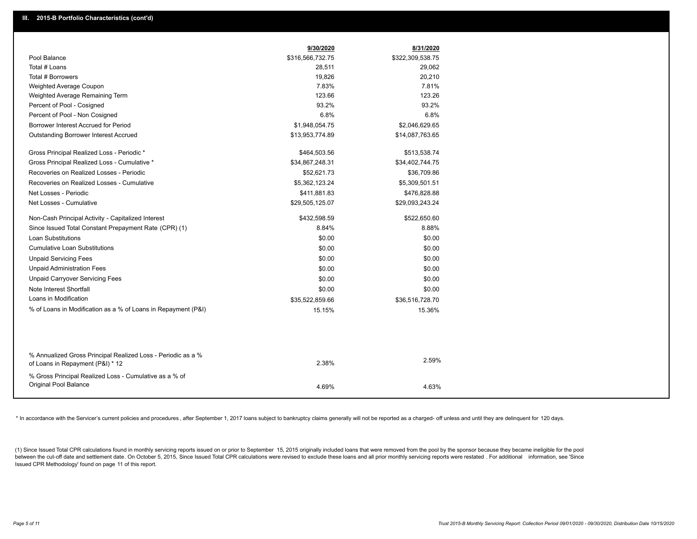|                                                                                                  | 9/30/2020        | 8/31/2020        |
|--------------------------------------------------------------------------------------------------|------------------|------------------|
| Pool Balance                                                                                     | \$316,566,732.75 | \$322,309,538.75 |
| Total # Loans                                                                                    | 28,511           | 29,062           |
| Total # Borrowers                                                                                | 19,826           | 20,210           |
| Weighted Average Coupon                                                                          | 7.83%            | 7.81%            |
| Weighted Average Remaining Term                                                                  | 123.66           | 123.26           |
| Percent of Pool - Cosigned                                                                       | 93.2%            | 93.2%            |
| Percent of Pool - Non Cosigned                                                                   | 6.8%             | 6.8%             |
| Borrower Interest Accrued for Period                                                             | \$1,948,054.75   | \$2,046,629.65   |
| <b>Outstanding Borrower Interest Accrued</b>                                                     | \$13,953,774.89  | \$14,087,763.65  |
| Gross Principal Realized Loss - Periodic *                                                       | \$464,503.56     | \$513,538.74     |
| Gross Principal Realized Loss - Cumulative *                                                     | \$34,867,248.31  | \$34,402,744.75  |
| Recoveries on Realized Losses - Periodic                                                         | \$52,621.73      | \$36,709.86      |
| Recoveries on Realized Losses - Cumulative                                                       | \$5,362,123.24   | \$5,309,501.51   |
| Net Losses - Periodic                                                                            | \$411,881.83     | \$476,828.88     |
| Net Losses - Cumulative                                                                          | \$29,505,125.07  | \$29,093,243.24  |
| Non-Cash Principal Activity - Capitalized Interest                                               | \$432,598.59     | \$522,650.60     |
| Since Issued Total Constant Prepayment Rate (CPR) (1)                                            | 8.84%            | 8.88%            |
| Loan Substitutions                                                                               | \$0.00           | \$0.00           |
| <b>Cumulative Loan Substitutions</b>                                                             | \$0.00           | \$0.00           |
| <b>Unpaid Servicing Fees</b>                                                                     | \$0.00           | \$0.00           |
| <b>Unpaid Administration Fees</b>                                                                | \$0.00           | \$0.00           |
| <b>Unpaid Carryover Servicing Fees</b>                                                           | \$0.00           | \$0.00           |
| Note Interest Shortfall                                                                          | \$0.00           | \$0.00           |
| Loans in Modification                                                                            | \$35,522,859.66  | \$36,516,728.70  |
| % of Loans in Modification as a % of Loans in Repayment (P&I)                                    | 15.15%           | 15.36%           |
|                                                                                                  |                  |                  |
|                                                                                                  |                  |                  |
| % Annualized Gross Principal Realized Loss - Periodic as a %<br>of Loans in Repayment (P&I) * 12 | 2.38%            | 2.59%            |
| % Gross Principal Realized Loss - Cumulative as a % of                                           |                  |                  |
| Original Pool Balance                                                                            | 4.69%            | 4.63%            |
|                                                                                                  |                  |                  |

\* In accordance with the Servicer's current policies and procedures, after September 1, 2017 loans subject to bankruptcy claims generally will not be reported as a charged- off unless and until they are delinquent for 120

(1) Since Issued Total CPR calculations found in monthly servicing reports issued on or prior to September 15, 2015 originally included loans that were removed from the pool by the sponsor because they became ineligible fo between the cut-off date and settlement date. On October 5, 2015, Since Issued Total CPR calculations were revised to exclude these loans and all prior monthly servicing reports were restated. For additional information, s Issued CPR Methodology' found on page 11 of this report.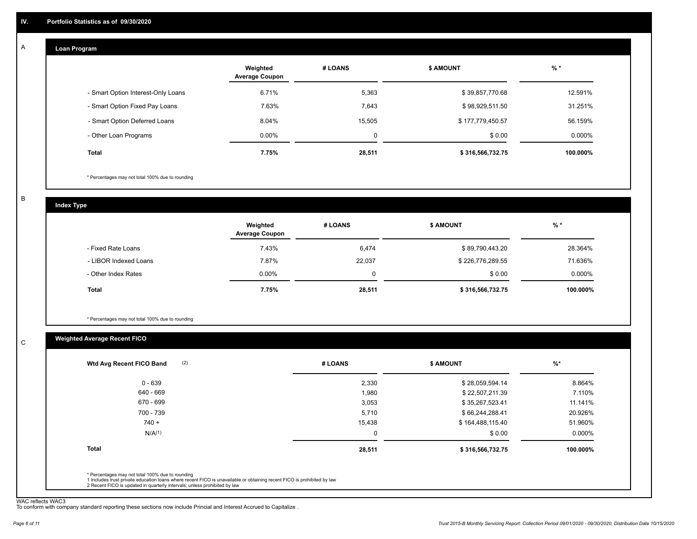#### **Loan Program**  A

|                                    | Weighted<br><b>Average Coupon</b> | # LOANS | <b>S AMOUNT</b>  | $%$ *    |
|------------------------------------|-----------------------------------|---------|------------------|----------|
| - Smart Option Interest-Only Loans | 6.71%                             | 5,363   | \$39,857,770.68  | 12.591%  |
| - Smart Option Fixed Pay Loans     | 7.63%                             | 7.643   | \$98,929,511.50  | 31.251%  |
| - Smart Option Deferred Loans      | 8.04%                             | 15,505  | \$177,779,450.57 | 56.159%  |
| - Other Loan Programs              | $0.00\%$                          | 0       | \$0.00           | 0.000%   |
| <b>Total</b>                       | 7.75%                             | 28,511  | \$316,566,732.75 | 100.000% |

\* Percentages may not total 100% due to rounding

B

C

**Index Type**

|                       | Weighted<br><b>Average Coupon</b> | # LOANS | <b>S AMOUNT</b>  | $%$ *     |
|-----------------------|-----------------------------------|---------|------------------|-----------|
| - Fixed Rate Loans    | 7.43%                             | 6,474   | \$89,790,443.20  | 28.364%   |
| - LIBOR Indexed Loans | 7.87%                             | 22,037  | \$226,776,289.55 | 71.636%   |
| - Other Index Rates   | $0.00\%$                          | 0       | \$0.00           | $0.000\%$ |
| <b>Total</b>          | 7.75%                             | 28,511  | \$316,566,732.75 | 100.000%  |

\* Percentages may not total 100% due to rounding

### **Weighted Average Recent FICO**

| 2,330       | \$28,059,594.14  | 8.864%    |
|-------------|------------------|-----------|
| 1,980       | \$22,507,211.39  | 7.110%    |
| 3,053       | \$35,267,523.41  | 11.141%   |
| 5.710       | \$66,244,288.41  | 20.926%   |
| 15,438      | \$164,488,115.40 | 51.960%   |
| $\mathbf 0$ | \$0.00           | $0.000\%$ |
| 28,511      | \$316,566,732.75 | 100.000%  |
|             |                  |           |
|             |                  |           |

WAC reflects WAC3 To conform with company standard reporting these sections now include Princial and Interest Accrued to Capitalize .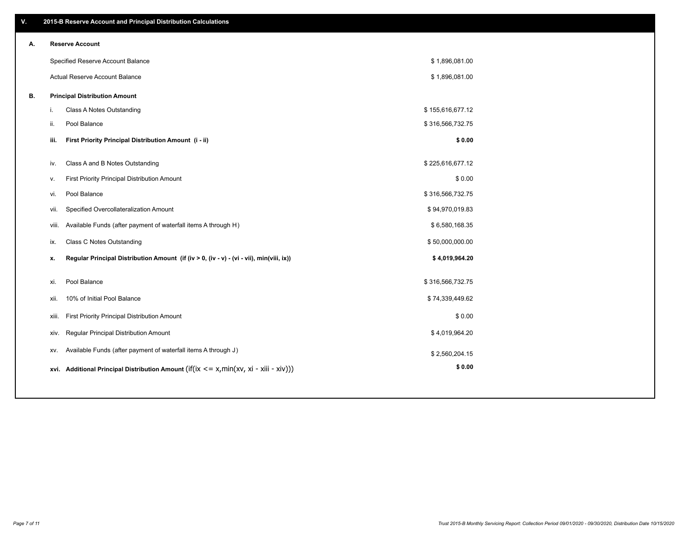| V. |     | 2015-B Reserve Account and Principal Distribution Calculations                             |                  |  |
|----|-----|--------------------------------------------------------------------------------------------|------------------|--|
| А. |     | <b>Reserve Account</b>                                                                     |                  |  |
|    |     | Specified Reserve Account Balance                                                          | \$1,896,081.00   |  |
|    |     | Actual Reserve Account Balance                                                             | \$1,896,081.00   |  |
| В. |     | <b>Principal Distribution Amount</b>                                                       |                  |  |
|    | j.  | Class A Notes Outstanding                                                                  | \$155,616,677.12 |  |
|    | ii. | Pool Balance                                                                               | \$316,566,732.75 |  |
|    |     | First Priority Principal Distribution Amount (i - ii)<br>iii.                              | \$0.00           |  |
|    |     |                                                                                            |                  |  |
|    | iv. | Class A and B Notes Outstanding                                                            | \$225,616,677.12 |  |
|    | v.  | First Priority Principal Distribution Amount                                               | \$0.00           |  |
|    | vi. | Pool Balance                                                                               | \$316,566,732.75 |  |
|    |     | Specified Overcollateralization Amount<br>vii.                                             | \$94,970,019.83  |  |
|    |     | Available Funds (after payment of waterfall items A through H)<br>viii.                    | \$6,580,168.35   |  |
|    | ix. | <b>Class C Notes Outstanding</b>                                                           | \$50,000,000.00  |  |
|    | х.  | Regular Principal Distribution Amount (if (iv > 0, (iv - v) - (vi - vii), min(viii, ix))   | \$4,019,964.20   |  |
|    | xi. | Pool Balance                                                                               | \$316,566,732.75 |  |
|    |     | 10% of Initial Pool Balance<br>xii.                                                        | \$74,339,449.62  |  |
|    |     | First Priority Principal Distribution Amount<br>xiii.                                      | \$0.00           |  |
|    |     | Regular Principal Distribution Amount<br>XIV.                                              | \$4,019,964.20   |  |
|    |     | Available Funds (after payment of waterfall items A through J)<br>XV.                      | \$2,560,204.15   |  |
|    |     | xvi. Additional Principal Distribution Amount (if(ix $\lt$ = x, min(xv, xi - xiii - xiv))) | \$0.00           |  |
|    |     |                                                                                            |                  |  |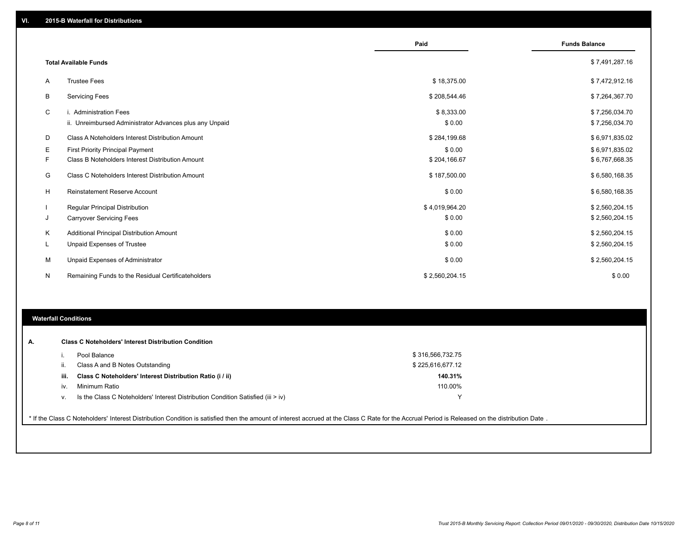|    |                                                         | Paid           | <b>Funds Balance</b> |
|----|---------------------------------------------------------|----------------|----------------------|
|    | <b>Total Available Funds</b>                            |                | \$7,491,287.16       |
| Α  | <b>Trustee Fees</b>                                     | \$18,375.00    | \$7,472,912.16       |
| В  | <b>Servicing Fees</b>                                   | \$208,544.46   | \$7,264,367.70       |
| C  | i. Administration Fees                                  | \$8,333.00     | \$7,256,034.70       |
|    | ii. Unreimbursed Administrator Advances plus any Unpaid | \$0.00         | \$7,256,034.70       |
| D  | Class A Noteholders Interest Distribution Amount        | \$284,199.68   | \$6,971,835.02       |
| Е  | First Priority Principal Payment                        | \$0.00         | \$6,971,835.02       |
| F. | Class B Noteholders Interest Distribution Amount        | \$204,166.67   | \$6,767,668.35       |
| G  | Class C Noteholders Interest Distribution Amount        | \$187,500.00   | \$6,580,168.35       |
| H  | Reinstatement Reserve Account                           | \$0.00         | \$6,580,168.35       |
|    | Regular Principal Distribution                          | \$4,019,964.20 | \$2,560,204.15       |
| J  | <b>Carryover Servicing Fees</b>                         | \$0.00         | \$2,560,204.15       |
| Κ  | Additional Principal Distribution Amount                | \$0.00         | \$2,560,204.15       |
| L  | Unpaid Expenses of Trustee                              | \$0.00         | \$2,560,204.15       |
| M  | Unpaid Expenses of Administrator                        | \$0.00         | \$2,560,204.15       |
| N  | Remaining Funds to the Residual Certificateholders      | \$2,560,204.15 | \$0.00               |

### **Waterfall Conditions**

|      | Pool Balance                                                                       | \$316,566,732.75 |
|------|------------------------------------------------------------------------------------|------------------|
| Ш.   | Class A and B Notes Outstanding                                                    | \$225.616.677.12 |
| iii. | Class C Noteholders' Interest Distribution Ratio (i / ii)                          | 140.31%          |
| IV.  | Minimum Ratio                                                                      | 110.00%          |
| ν.   | Is the Class C Noteholders' Interest Distribution Condition Satisfied (iii $>$ iv) |                  |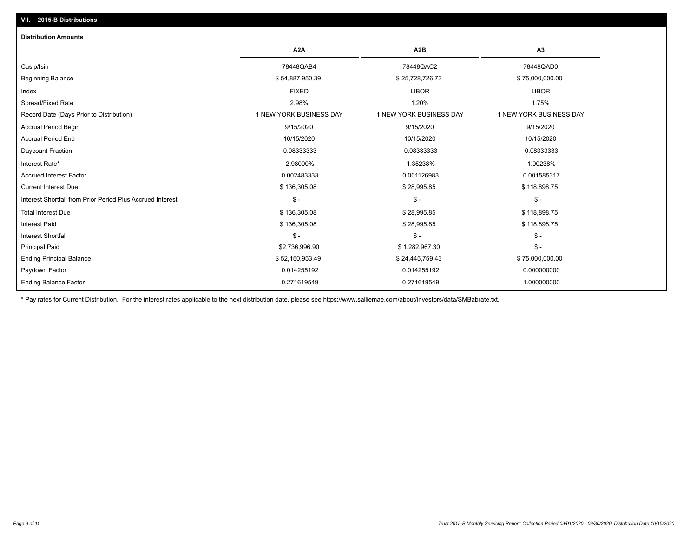## **VII. 2015-B Distributions**

| <b>Distribution Amounts</b>                                |                         |                         |                         |
|------------------------------------------------------------|-------------------------|-------------------------|-------------------------|
|                                                            | A <sub>2</sub> A        | A <sub>2</sub> B        | A3                      |
| Cusip/Isin                                                 | 78448QAB4               | 78448QAC2               | 78448QAD0               |
| <b>Beginning Balance</b>                                   | \$54,887,950.39         | \$25,728,726.73         | \$75,000,000.00         |
| Index                                                      | <b>FIXED</b>            | <b>LIBOR</b>            | <b>LIBOR</b>            |
| Spread/Fixed Rate                                          | 2.98%                   | 1.20%                   | 1.75%                   |
| Record Date (Days Prior to Distribution)                   | 1 NEW YORK BUSINESS DAY | 1 NEW YORK BUSINESS DAY | 1 NEW YORK BUSINESS DAY |
| <b>Accrual Period Begin</b>                                | 9/15/2020               | 9/15/2020               | 9/15/2020               |
| <b>Accrual Period End</b>                                  | 10/15/2020              | 10/15/2020              | 10/15/2020              |
| Daycount Fraction                                          | 0.08333333              | 0.08333333              | 0.08333333              |
| Interest Rate*                                             | 2.98000%                | 1.35238%                | 1.90238%                |
| <b>Accrued Interest Factor</b>                             | 0.002483333             | 0.001126983             | 0.001585317             |
| <b>Current Interest Due</b>                                | \$136,305.08            | \$28,995.85             | \$118,898.75            |
| Interest Shortfall from Prior Period Plus Accrued Interest | $\mathbb{S}$ -          | $\mathcal{S}$ -         | $\mathsf{\$}$ -         |
| <b>Total Interest Due</b>                                  | \$136,305.08            | \$28,995.85             | \$118,898.75            |
| <b>Interest Paid</b>                                       | \$136,305.08            | \$28,995.85             | \$118,898.75            |
| <b>Interest Shortfall</b>                                  | $$ -$                   | $$ -$                   | $\mathsf{\$}$ -         |
| <b>Principal Paid</b>                                      | \$2,736,996.90          | \$1,282,967.30          | $\mathsf{\$}$ -         |
| <b>Ending Principal Balance</b>                            | \$52,150,953.49         | \$24,445,759.43         | \$75,000,000.00         |
| Paydown Factor                                             | 0.014255192             | 0.014255192             | 0.000000000             |
| <b>Ending Balance Factor</b>                               | 0.271619549             | 0.271619549             | 1.000000000             |

\* Pay rates for Current Distribution. For the interest rates applicable to the next distribution date, please see https://www.salliemae.com/about/investors/data/SMBabrate.txt.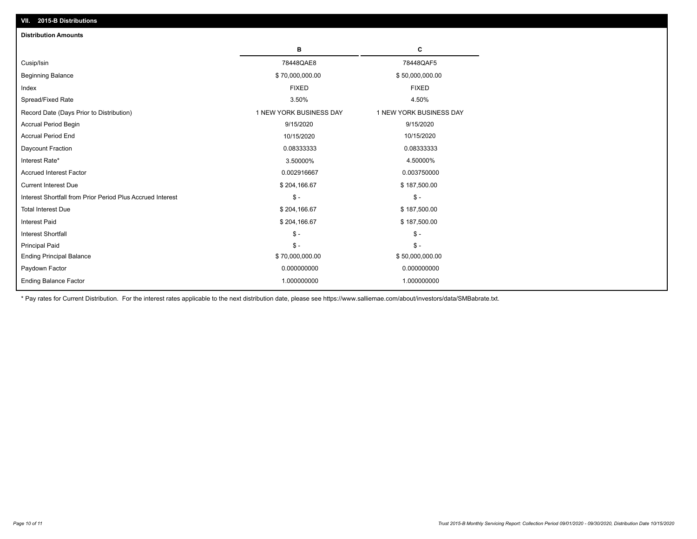| VII. 2015-B Distributions                                  |                         |                         |
|------------------------------------------------------------|-------------------------|-------------------------|
| <b>Distribution Amounts</b>                                |                         |                         |
|                                                            | в                       | C                       |
| Cusip/Isin                                                 | 78448QAE8               | 78448QAF5               |
| <b>Beginning Balance</b>                                   | \$70,000,000.00         | \$50,000,000.00         |
| Index                                                      | <b>FIXED</b>            | <b>FIXED</b>            |
| Spread/Fixed Rate                                          | 3.50%                   | 4.50%                   |
| Record Date (Days Prior to Distribution)                   | 1 NEW YORK BUSINESS DAY | 1 NEW YORK BUSINESS DAY |
| <b>Accrual Period Begin</b>                                | 9/15/2020               | 9/15/2020               |
| <b>Accrual Period End</b>                                  | 10/15/2020              | 10/15/2020              |
| Daycount Fraction                                          | 0.08333333              | 0.08333333              |
| Interest Rate*                                             | 3.50000%                | 4.50000%                |
| <b>Accrued Interest Factor</b>                             | 0.002916667             | 0.003750000             |
| <b>Current Interest Due</b>                                | \$204,166.67            | \$187,500.00            |
| Interest Shortfall from Prior Period Plus Accrued Interest | $\mathsf{\$}$ -         | $\mathsf{\$}$ -         |
| <b>Total Interest Due</b>                                  | \$204,166.67            | \$187,500.00            |
| <b>Interest Paid</b>                                       | \$204,166.67            | \$187,500.00            |
| Interest Shortfall                                         | $\mathcal{S}$ -         | $\frac{1}{2}$           |
| <b>Principal Paid</b>                                      | $\mathsf{\$}$ -         | $\mathsf{\$}$ -         |
| <b>Ending Principal Balance</b>                            | \$70,000,000.00         | \$50,000,000.00         |
| Paydown Factor                                             | 0.000000000             | 0.000000000             |
| <b>Ending Balance Factor</b>                               | 1.000000000             | 1.000000000             |

\* Pay rates for Current Distribution. For the interest rates applicable to the next distribution date, please see https://www.salliemae.com/about/investors/data/SMBabrate.txt.